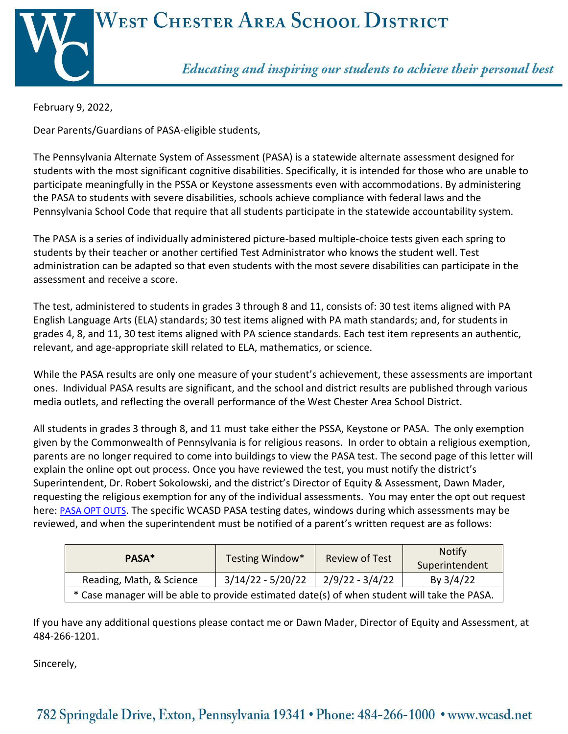

February 9, 2022,

Dear Parents/Guardians of PASA-eligible students,

The Pennsylvania Alternate System of Assessment (PASA) is a statewide alternate assessment designed for students with the most significant cognitive disabilities. Specifically, it is intended for those who are unable to participate meaningfully in the PSSA or Keystone assessments even with accommodations. By administering the PASA to students with severe disabilities, schools achieve compliance with federal laws and the Pennsylvania School Code that require that all students participate in the statewide accountability system.

The PASA is a series of individually administered picture-based multiple-choice tests given each spring to students by their teacher or another certified Test Administrator who knows the student well. Test administration can be adapted so that even students with the most severe disabilities can participate in the assessment and receive a score.

The test, administered to students in grades 3 through 8 and 11, consists of: 30 test items aligned with PA English Language Arts (ELA) standards; 30 test items aligned with PA math standards; and, for students in grades 4, 8, and 11, 30 test items aligned with PA science standards. Each test item represents an authentic, relevant, and age-appropriate skill related to ELA, mathematics, or science.

While the PASA results are only one measure of your student's achievement, these assessments are important ones. Individual PASA results are significant, and the school and district results are published through various media outlets, and reflecting the overall performance of the West Chester Area School District.

All students in grades 3 through 8, and 11 must take either the PSSA, Keystone or PASA. The only exemption given by the Commonwealth of Pennsylvania is for religious reasons. In order to obtain a religious exemption, parents are no longer required to come into buildings to view the PASA test. The second page of this letter will explain the online opt out process. Once you have reviewed the test, you must notify the district's Superintendent, Dr. Robert Sokolowski, and the district's Director of Equity & Assessment, Dawn Mader, requesting the religious exemption for any of the individual assessments. You may enter the opt out request here: [PASA OPT OUTS](https://forms.gle/tKACsDmL8ommNPDH9). The specific WCASD PASA testing dates, windows during which assessments may be reviewed, and when the superintendent must be notified of a parent's written request are as follows:

| PASA*                                                                                        | Testing Window*     | <b>Review of Test</b> | <b>Notify</b>  |  |  |
|----------------------------------------------------------------------------------------------|---------------------|-----------------------|----------------|--|--|
|                                                                                              |                     |                       | Superintendent |  |  |
| Reading, Math, & Science                                                                     | $3/14/22 - 5/20/22$ | 2/9/22 - 3/4/22       | By $3/4/22$    |  |  |
| * Case manager will be able to provide estimated date(s) of when student will take the PASA. |                     |                       |                |  |  |

If you have any additional questions please contact me or Dawn Mader, Director of Equity and Assessment, at 484-266-1201.

Sincerely,

## 782 Springdale Drive, Exton, Pennsylvania 19341 • Phone: 484-266-1000 • www.wcasd.net